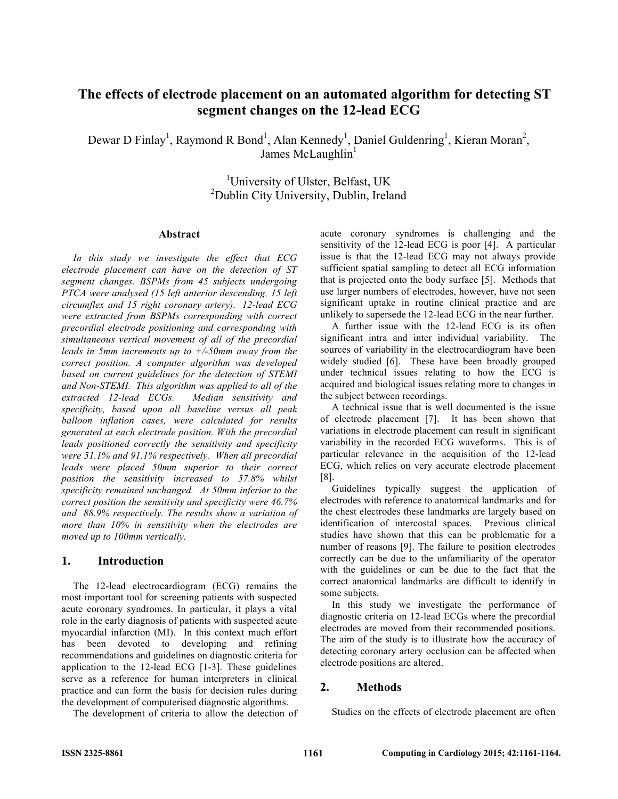# **The effects of electrode placement on an automated algorithm for detecting ST segment changes on the 12-lead ECG**

Dewar D Finlay<sup>1</sup>, Raymond R Bond<sup>1</sup>, Alan Kennedy<sup>1</sup>, Daniel Guldenring<sup>1</sup>, Kieran Moran<sup>2</sup>, James McLaughlin<sup>1</sup>

> <sup>1</sup>University of Ulster, Belfast, UK <sup>2</sup>Dublin City University, Dublin, Ireland

#### **Abstract**

*In this study we investigate the effect that ECG electrode placement can have on the detection of ST segment changes. BSPMs from 45 subjects undergoing PTCA were analysed (15 left anterior descending, 15 left circumflex and 15 right coronary artery). 12-lead ECG were extracted from BSPMs corresponding with correct precordial electrode positioning and corresponding with simultaneous vertical movement of all of the precordial leads in 5mm increments up to +/-50mm away from the correct position. A computer algorithm was developed based on current guidelines for the detection of STEMI and Non-STEMI. This algorithm was applied to all of the extracted 12-lead ECGs. Median sensitivity and specificity, based upon all baseline versus all peak balloon inflation cases, were calculated for results generated at each electrode position. With the precordial leads positioned correctly the sensitivity and specificity were 51.1% and 91.1% respectively. When all precordial leads were placed 50mm superior to their correct position the sensitivity increased to 57.8% whilst specificity remained unchanged. At 50mm inferior to the correct position the sensitivity and specificity were 46.7% and 88.9% respectively. The results show a variation of more than 10% in sensitivity when the electrodes are moved up to 100mm vertically.* 

#### **1. Introduction**

The 12-lead electrocardiogram (ECG) remains the most important tool for screening patients with suspected acute coronary syndromes. In particular, it plays a vital role in the early diagnosis of patients with suspected acute myocardial infarction (MI). In this context much effort has been devoted to developing and refining recommendations and guidelines on diagnostic criteria for application to the 12-lead ECG [1-3]. These guidelines serve as a reference for human interpreters in clinical practice and can form the basis for decision rules during the development of computerised diagnostic algorithms.

The development of criteria to allow the detection of

acute coronary syndromes is challenging and the sensitivity of the 12-lead ECG is poor [4]. A particular issue is that the 12-lead ECG may not always provide sufficient spatial sampling to detect all ECG information that is projected onto the body surface [5]. Methods that use larger numbers of electrodes, however, have not seen significant uptake in routine clinical practice and are unlikely to supersede the 12-lead ECG in the near further.

A further issue with the 12-lead ECG is its often significant intra and inter individual variability. The sources of variability in the electrocardiogram have been widely studied [6]. These have been broadly grouped under technical issues relating to how the ECG is acquired and biological issues relating more to changes in the subject between recordings.

A technical issue that is well documented is the issue of electrode placement [7]. It has been shown that variations in electrode placement can result in significant variability in the recorded ECG waveforms. This is of particular relevance in the acquisition of the 12-lead ECG, which relies on very accurate electrode placement [8].

Guidelines typically suggest the application of electrodes with reference to anatomical landmarks and for the chest electrodes these landmarks are largely based on identification of intercostal spaces. Previous clinical studies have shown that this can be problematic for a number of reasons [9]. The failure to position electrodes correctly can be due to the unfamiliarity of the operator with the guidelines or can be due to the fact that the correct anatomical landmarks are difficult to identify in some subjects.

In this study we investigate the performance of diagnostic criteria on 12-lead ECGs where the precordial electrodes are moved from their recommended positions. The aim of the study is to illustrate how the accuracy of detecting coronary artery occlusion can be affected when electrode positions are altered.

## **2. Methods**

Studies on the effects of electrode placement are often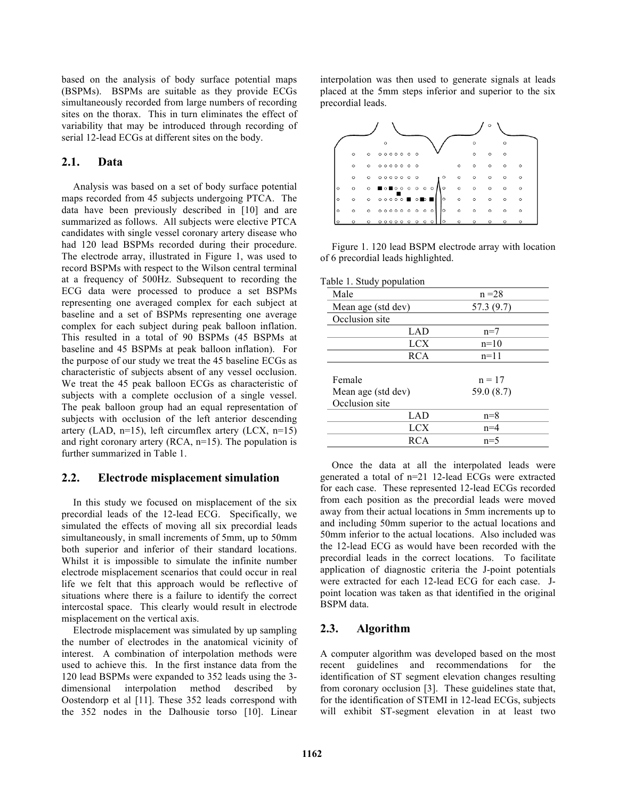based on the analysis of body surface potential maps (BSPMs). BSPMs are suitable as they provide ECGs simultaneously recorded from large numbers of recording sites on the thorax. This in turn eliminates the effect of variability that may be introduced through recording of serial 12-lead ECGs at different sites on the body.

## **2.1. Data**

Analysis was based on a set of body surface potential maps recorded from 45 subjects undergoing PTCA. The data have been previously described in [10] and are summarized as follows. All subjects were elective PTCA candidates with single vessel coronary artery disease who had 120 lead BSPMs recorded during their procedure. The electrode array, illustrated in Figure 1, was used to record BSPMs with respect to the Wilson central terminal at a frequency of 500Hz. Subsequent to recording the ECG data were processed to produce a set BSPMs representing one averaged complex for each subject at baseline and a set of BSPMs representing one average complex for each subject during peak balloon inflation. This resulted in a total of 90 BSPMs (45 BSPMs at baseline and 45 BSPMs at peak balloon inflation). For the purpose of our study we treat the 45 baseline ECGs as characteristic of subjects absent of any vessel occlusion. We treat the 45 peak balloon ECGs as characteristic of subjects with a complete occlusion of a single vessel. The peak balloon group had an equal representation of subjects with occlusion of the left anterior descending artery (LAD,  $n=15$ ), left circumflex artery (LCX,  $n=15$ ) and right coronary artery (RCA, n=15). The population is further summarized in Table 1.

## **2.2. Electrode misplacement simulation**

In this study we focused on misplacement of the six precordial leads of the 12-lead ECG. Specifically, we simulated the effects of moving all six precordial leads simultaneously, in small increments of 5mm, up to 50mm both superior and inferior of their standard locations. Whilst it is impossible to simulate the infinite number electrode misplacement scenarios that could occur in real life we felt that this approach would be reflective of situations where there is a failure to identify the correct intercostal space. This clearly would result in electrode misplacement on the vertical axis.

Electrode misplacement was simulated by up sampling the number of electrodes in the anatomical vicinity of interest. A combination of interpolation methods were used to achieve this. In the first instance data from the 120 lead BSPMs were expanded to 352 leads using the 3 dimensional interpolation method described by Oostendorp et al [11]. These 352 leads correspond with the 352 nodes in the Dalhousie torso [10]. Linear

interpolation was then used to generate signals at leads placed at the 5mm steps inferior and superior to the six precordial leads.



Figure 1. 120 lead BSPM electrode array with location of 6 precordial leads highlighted.

| Table 1. Study population |  |
|---------------------------|--|
|---------------------------|--|

| Male               | $n = 28$     |
|--------------------|--------------|
| Mean age (std dev) | 57.3 (9.7)   |
| Occlusion site     |              |
| LAD                | $n=7$        |
| LCX                | $n=10$       |
| <b>RCA</b>         | $n=11$       |
|                    |              |
| Female             | $n = 17$     |
| Mean age (std dev) | 59.0 $(8.7)$ |
| Occlusion site     |              |
| LAD                | $n=8$        |
| LCX                | $n=4$        |
| <b>RCA</b>         | $n=5$        |
|                    |              |

Once the data at all the interpolated leads were generated a total of n=21 12-lead ECGs were extracted for each case. These represented 12-lead ECGs recorded from each position as the precordial leads were moved away from their actual locations in 5mm increments up to and including 50mm superior to the actual locations and 50mm inferior to the actual locations. Also included was the 12-lead ECG as would have been recorded with the precordial leads in the correct locations. To facilitate application of diagnostic criteria the J-point potentials were extracted for each 12-lead ECG for each case. Jpoint location was taken as that identified in the original BSPM data.

## **2.3. Algorithm**

A computer algorithm was developed based on the most recent guidelines and recommendations for the identification of ST segment elevation changes resulting from coronary occlusion [3]. These guidelines state that, for the identification of STEMI in 12-lead ECGs, subjects will exhibit ST-segment elevation in at least two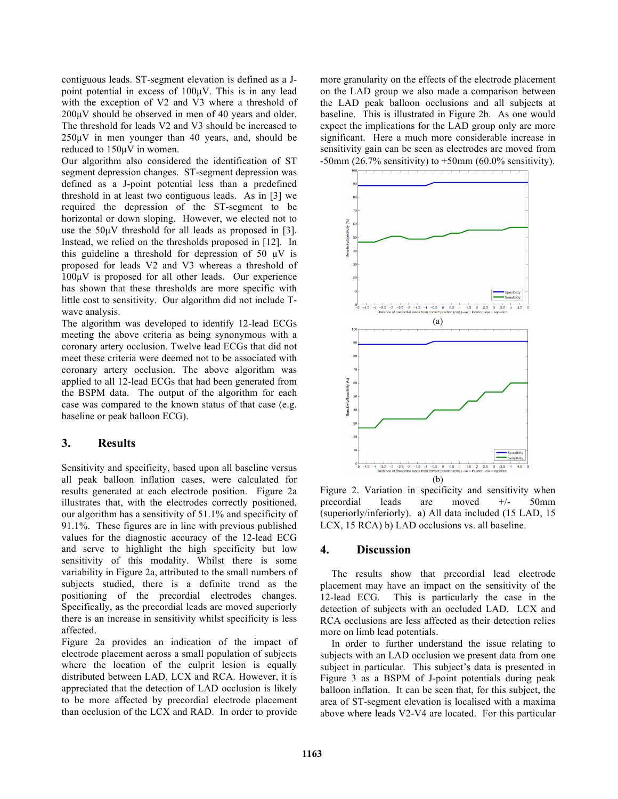contiguous leads. ST-segment elevation is defined as a Jpoint potential in excess of 100µV. This is in any lead with the exception of V2 and V3 where a threshold of 200µV should be observed in men of 40 years and older. The threshold for leads V2 and V3 should be increased to 250µV in men younger than 40 years, and, should be reduced to 150µV in women.

Our algorithm also considered the identification of ST segment depression changes. ST-segment depression was defined as a J-point potential less than a predefined threshold in at least two contiguous leads. As in [3] we required the depression of the ST-segment to be horizontal or down sloping. However, we elected not to use the  $50\mu\text{V}$  threshold for all leads as proposed in [3]. Instead, we relied on the thresholds proposed in [12]. In this guideline a threshold for depression of 50 µV is proposed for leads V2 and V3 whereas a threshold of 100µV is proposed for all other leads. Our experience has shown that these thresholds are more specific with little cost to sensitivity. Our algorithm did not include Twave analysis.

The algorithm was developed to identify 12-lead ECGs meeting the above criteria as being synonymous with a coronary artery occlusion. Twelve lead ECGs that did not meet these criteria were deemed not to be associated with coronary artery occlusion. The above algorithm was applied to all 12-lead ECGs that had been generated from the BSPM data. The output of the algorithm for each case was compared to the known status of that case (e.g. baseline or peak balloon ECG).

## **3. Results**

Sensitivity and specificity, based upon all baseline versus all peak balloon inflation cases, were calculated for results generated at each electrode position. Figure 2a illustrates that, with the electrodes correctly positioned, our algorithm has a sensitivity of 51.1% and specificity of 91.1%. These figures are in line with previous published values for the diagnostic accuracy of the 12-lead ECG and serve to highlight the high specificity but low sensitivity of this modality. Whilst there is some variability in Figure 2a, attributed to the small numbers of subjects studied, there is a definite trend as the positioning of the precordial electrodes changes. Specifically, as the precordial leads are moved superiorly there is an increase in sensitivity whilst specificity is less affected.

Figure 2a provides an indication of the impact of electrode placement across a small population of subjects where the location of the culprit lesion is equally distributed between LAD, LCX and RCA. However, it is appreciated that the detection of LAD occlusion is likely to be more affected by precordial electrode placement than occlusion of the LCX and RAD. In order to provide

more granularity on the effects of the electrode placement on the LAD group we also made a comparison between the LAD peak balloon occlusions and all subjects at baseline. This is illustrated in Figure 2b. As one would expect the implications for the LAD group only are more significant. Here a much more considerable increase in sensitivity gain can be seen as electrodes are moved from -50mm (26.7% sensitivity) to  $+50$ mm (60.0% sensitivity).



Figure 2. Variation in specificity and sensitivity when precordial leads are moved +/- 50mm (superiorly/inferiorly). a) All data included (15 LAD, 15 LCX, 15 RCA) b) LAD occlusions vs. all baseline.

## **4. Discussion**

The results show that precordial lead electrode placement may have an impact on the sensitivity of the 12-lead ECG. This is particularly the case in the This is particularly the case in the detection of subjects with an occluded LAD. LCX and RCA occlusions are less affected as their detection relies more on limb lead potentials.

In order to further understand the issue relating to subjects with an LAD occlusion we present data from one subject in particular. This subject's data is presented in Figure 3 as a BSPM of J-point potentials during peak balloon inflation. It can be seen that, for this subject, the area of ST-segment elevation is localised with a maxima above where leads V2-V4 are located. For this particular